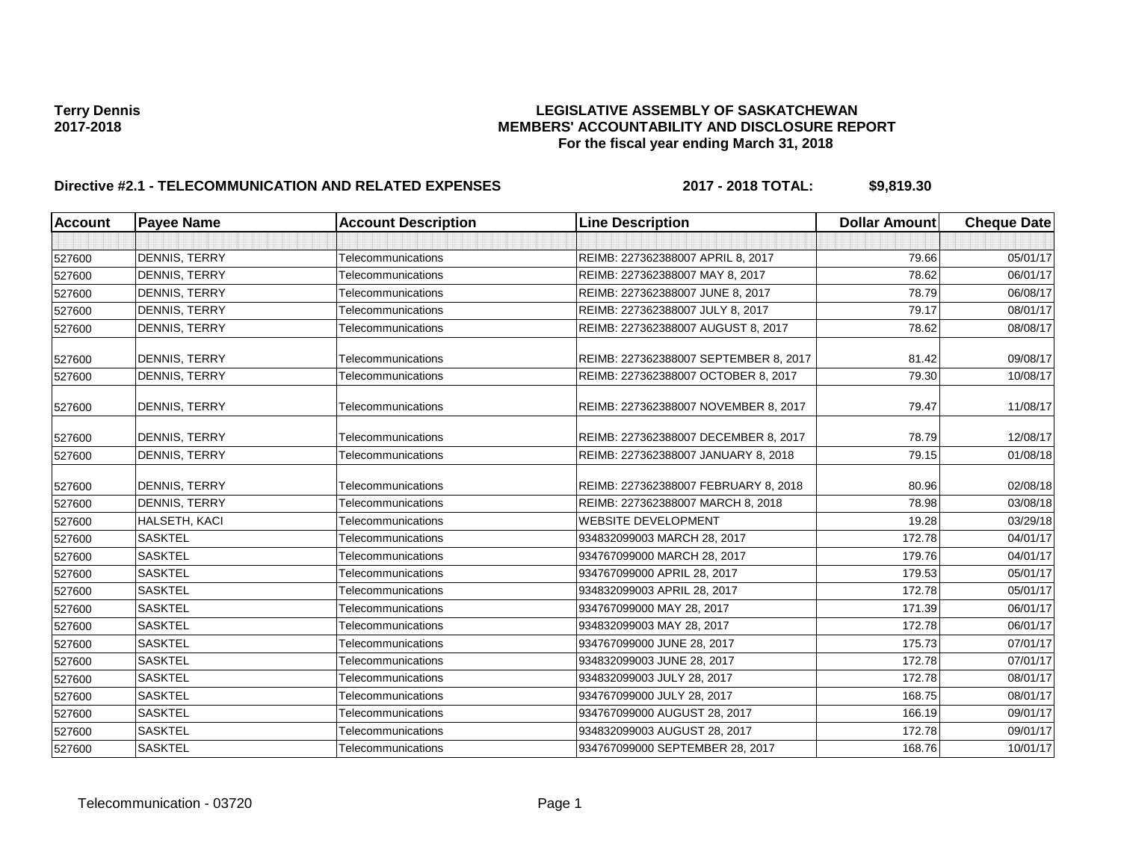# Terry Dennis<br>LEGISLATIVE ASSEMBLY OF SASKATCHEWAN<br>MEMBERS' ACCOUNTABILITY AND DISCLOSURE REF **2017-2018 MEMBERS' ACCOUNTABILITY AND DISCLOSURE REPORT For the fiscal year ending March 31, 2018**

# **Directive #2.1 - TELECOMMUNICATION AND RELATED EXPENSES 2017 - 2018 TOTAL: \$9,819.30**

| <b>Account</b> | <b>Payee Name</b>    | <b>Account Description</b> | <b>Line Description</b>               | <b>Dollar Amount</b> | <b>Cheque Date</b> |
|----------------|----------------------|----------------------------|---------------------------------------|----------------------|--------------------|
|                |                      |                            |                                       |                      |                    |
| 527600         | <b>DENNIS, TERRY</b> | Telecommunications         | REIMB: 227362388007 APRIL 8, 2017     | 79.66                | 05/01/17           |
| 527600         | <b>DENNIS, TERRY</b> | Telecommunications         | REIMB: 227362388007 MAY 8, 2017       | 78.62                | 06/01/17           |
| 527600         | <b>DENNIS, TERRY</b> | Telecommunications         | REIMB: 227362388007 JUNE 8, 2017      | 78.79                | 06/08/17           |
| 527600         | <b>DENNIS, TERRY</b> | Telecommunications         | REIMB: 227362388007 JULY 8, 2017      | 79.17                | 08/01/17           |
| 527600         | <b>DENNIS, TERRY</b> | Telecommunications         | REIMB: 227362388007 AUGUST 8, 2017    | 78.62                | 08/08/17           |
| 527600         | DENNIS, TERRY        | Telecommunications         | REIMB: 227362388007 SEPTEMBER 8, 2017 | 81.42                | 09/08/17           |
| 527600         | <b>DENNIS, TERRY</b> | Telecommunications         | REIMB: 227362388007 OCTOBER 8, 2017   | 79.30                | 10/08/17           |
| 527600         | <b>DENNIS, TERRY</b> | Telecommunications         | REIMB: 227362388007 NOVEMBER 8, 2017  | 79.47                | 11/08/17           |
| 527600         | <b>DENNIS, TERRY</b> | Telecommunications         | REIMB: 227362388007 DECEMBER 8, 2017  | 78.79                | 12/08/17           |
| 527600         | <b>DENNIS, TERRY</b> | Telecommunications         | REIMB: 227362388007 JANUARY 8, 2018   | 79.15                | 01/08/18           |
| 527600         | <b>DENNIS, TERRY</b> | Telecommunications         | REIMB: 227362388007 FEBRUARY 8, 2018  | 80.96                | 02/08/18           |
| 527600         | <b>DENNIS, TERRY</b> | Telecommunications         | REIMB: 227362388007 MARCH 8, 2018     | 78.98                | 03/08/18           |
| 527600         | HALSETH, KACI        | Telecommunications         | <b>WEBSITE DEVELOPMENT</b>            | 19.28                | 03/29/18           |
| 527600         | <b>SASKTEL</b>       | Telecommunications         | 934832099003 MARCH 28, 2017           | 172.78               | 04/01/17           |
| 527600         | <b>SASKTEL</b>       | Telecommunications         | 934767099000 MARCH 28, 2017           | 179.76               | 04/01/17           |
| 527600         | <b>SASKTEL</b>       | Telecommunications         | 934767099000 APRIL 28, 2017           | 179.53               | 05/01/17           |
| 527600         | <b>SASKTEL</b>       | Telecommunications         | 934832099003 APRIL 28, 2017           | 172.78               | 05/01/17           |
| 527600         | <b>SASKTEL</b>       | Telecommunications         | 934767099000 MAY 28, 2017             | 171.39               | 06/01/17           |
| 527600         | <b>SASKTEL</b>       | Telecommunications         | 934832099003 MAY 28, 2017             | 172.78               | 06/01/17           |
| 527600         | <b>SASKTEL</b>       | Telecommunications         | 934767099000 JUNE 28, 2017            | 175.73               | 07/01/17           |
| 527600         | <b>SASKTEL</b>       | Telecommunications         | 934832099003 JUNE 28, 2017            | 172.78               | 07/01/17           |
| 527600         | <b>SASKTEL</b>       | Telecommunications         | 934832099003 JULY 28, 2017            | 172.78               | 08/01/17           |
| 527600         | <b>SASKTEL</b>       | Telecommunications         | 934767099000 JULY 28, 2017            | 168.75               | 08/01/17           |
| 527600         | <b>SASKTEL</b>       | Telecommunications         | 934767099000 AUGUST 28, 2017          | 166.19               | 09/01/17           |
| 527600         | <b>SASKTEL</b>       | Telecommunications         | 934832099003 AUGUST 28, 2017          | 172.78               | 09/01/17           |
| 527600         | <b>SASKTEL</b>       | Telecommunications         | 934767099000 SEPTEMBER 28, 2017       | 168.76               | 10/01/17           |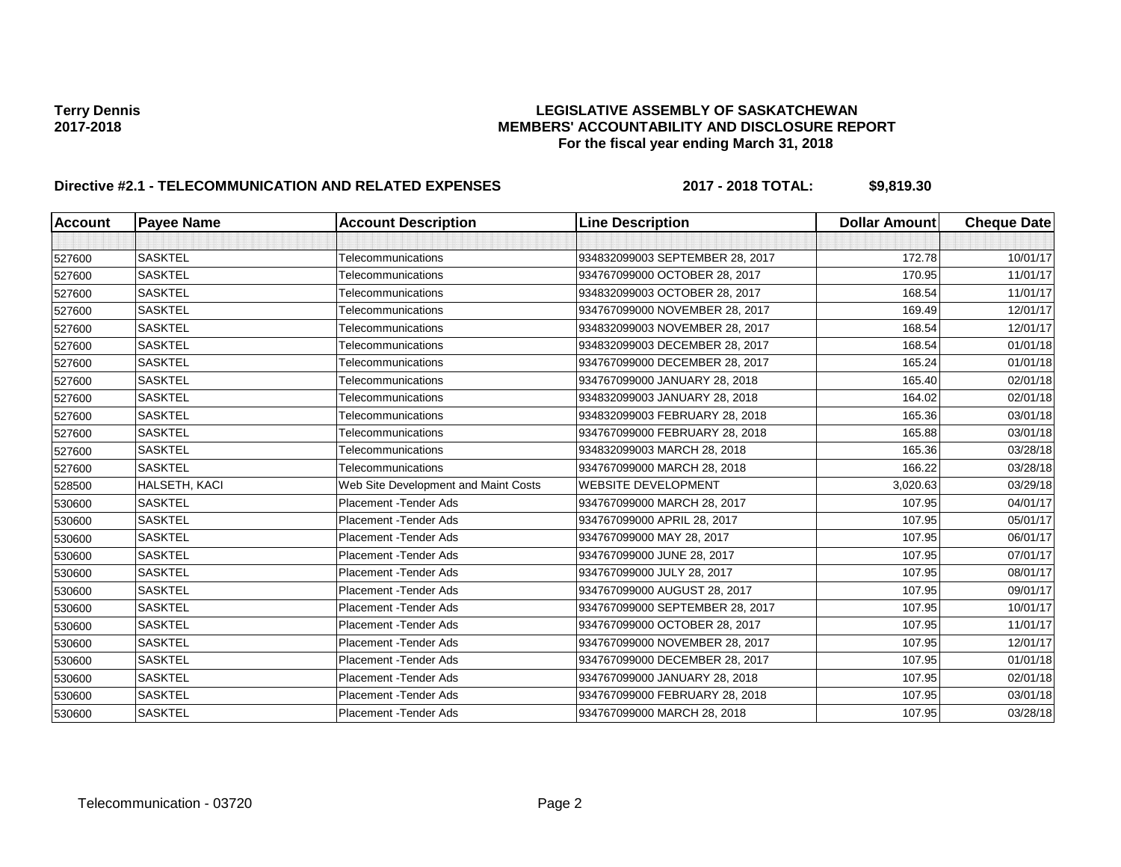# Terry Dennis<br>LEGISLATIVE ASSEMBLY OF SASKATCHEWAN<br>MEMBERS' ACCOUNTABILITY AND DISCLOSURE REF **2017-2018 MEMBERS' ACCOUNTABILITY AND DISCLOSURE REPORT For the fiscal year ending March 31, 2018**

# **Directive #2.1 - TELECOMMUNICATION AND RELATED EXPENSES 2017 - 2018 TOTAL: \$9,819.30**

| <b>Account</b> | <b>Payee Name</b> | <b>Account Description</b>           | <b>Line Description</b>         | <b>Dollar Amount</b> | <b>Cheque Date</b> |
|----------------|-------------------|--------------------------------------|---------------------------------|----------------------|--------------------|
|                |                   |                                      |                                 |                      |                    |
| 527600         | <b>SASKTEL</b>    | Telecommunications                   | 934832099003 SEPTEMBER 28, 2017 | 172.78               | 10/01/17           |
| 527600         | <b>SASKTEL</b>    | Telecommunications                   | 934767099000 OCTOBER 28, 2017   | 170.95               | 11/01/17           |
| 527600         | <b>SASKTEL</b>    | Telecommunications                   | 934832099003 OCTOBER 28, 2017   | 168.54               | 11/01/17           |
| 527600         | <b>SASKTEL</b>    | Telecommunications                   | 934767099000 NOVEMBER 28, 2017  | 169.49               | 12/01/17           |
| 527600         | <b>SASKTEL</b>    | Telecommunications                   | 934832099003 NOVEMBER 28, 2017  | 168.54               | 12/01/17           |
| 527600         | <b>SASKTEL</b>    | Telecommunications                   | 934832099003 DECEMBER 28, 2017  | 168.54               | 01/01/18           |
| 527600         | <b>SASKTEL</b>    | Telecommunications                   | 934767099000 DECEMBER 28, 2017  | 165.24               | 01/01/18           |
| 527600         | <b>SASKTEL</b>    | Telecommunications                   | 934767099000 JANUARY 28, 2018   | 165.40               | 02/01/18           |
| 527600         | <b>SASKTEL</b>    | Telecommunications                   | 934832099003 JANUARY 28, 2018   | 164.02               | 02/01/18           |
| 527600         | <b>SASKTEL</b>    | Telecommunications                   | 934832099003 FEBRUARY 28, 2018  | 165.36               | 03/01/18           |
| 527600         | <b>SASKTEL</b>    | Telecommunications                   | 934767099000 FEBRUARY 28, 2018  | 165.88               | 03/01/18           |
| 527600         | <b>SASKTEL</b>    | Telecommunications                   | 934832099003 MARCH 28, 2018     | 165.36               | 03/28/18           |
| 527600         | <b>SASKTEL</b>    | Telecommunications                   | 934767099000 MARCH 28, 2018     | 166.22               | 03/28/18           |
| 528500         | HALSETH, KACI     | Web Site Development and Maint Costs | <b>WEBSITE DEVELOPMENT</b>      | 3,020.63             | 03/29/18           |
| 530600         | <b>SASKTEL</b>    | Placement - Tender Ads               | 934767099000 MARCH 28, 2017     | 107.95               | 04/01/17           |
| 530600         | <b>SASKTEL</b>    | Placement - Tender Ads               | 934767099000 APRIL 28, 2017     | 107.95               | 05/01/17           |
| 530600         | <b>SASKTEL</b>    | Placement - Tender Ads               | 934767099000 MAY 28, 2017       | 107.95               | 06/01/17           |
| 530600         | <b>SASKTEL</b>    | Placement - Tender Ads               | 934767099000 JUNE 28, 2017      | 107.95               | 07/01/17           |
| 530600         | <b>SASKTEL</b>    | Placement - Tender Ads               | 934767099000 JULY 28, 2017      | 107.95               | 08/01/17           |
| 530600         | <b>SASKTEL</b>    | Placement - Tender Ads               | 934767099000 AUGUST 28, 2017    | 107.95               | 09/01/17           |
| 530600         | <b>SASKTEL</b>    | Placement - Tender Ads               | 934767099000 SEPTEMBER 28, 2017 | 107.95               | 10/01/17           |
| 530600         | <b>SASKTEL</b>    | Placement - Tender Ads               | 934767099000 OCTOBER 28, 2017   | 107.95               | 11/01/17           |
| 530600         | <b>SASKTEL</b>    | Placement - Tender Ads               | 934767099000 NOVEMBER 28, 2017  | 107.95               | 12/01/17           |
| 530600         | <b>SASKTEL</b>    | Placement - Tender Ads               | 934767099000 DECEMBER 28, 2017  | 107.95               | 01/01/18           |
| 530600         | <b>SASKTEL</b>    | Placement - Tender Ads               | 934767099000 JANUARY 28, 2018   | 107.95               | 02/01/18           |
| 530600         | <b>SASKTEL</b>    | Placement - Tender Ads               | 934767099000 FEBRUARY 28, 2018  | 107.95               | 03/01/18           |
| 530600         | <b>SASKTEL</b>    | Placement - Tender Ads               | 934767099000 MARCH 28, 2018     | 107.95               | 03/28/18           |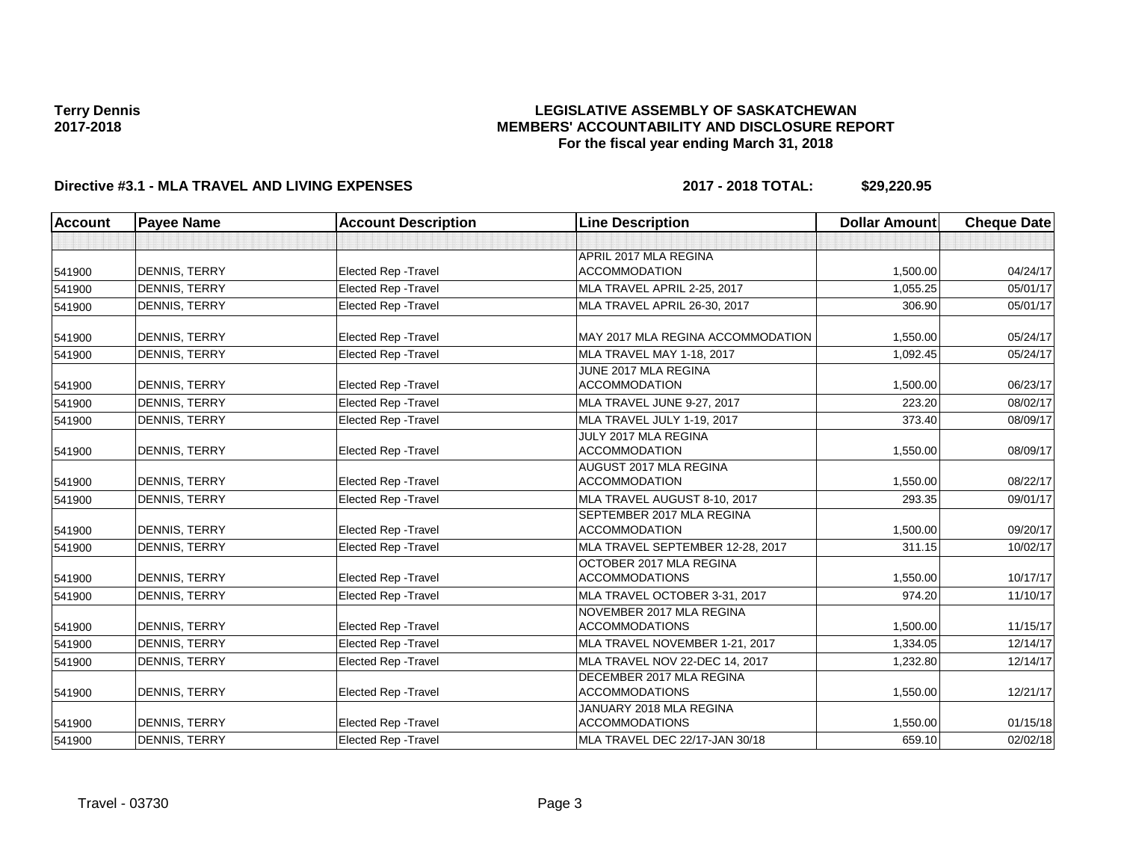### **LEGISLATIVE ASSEMBLY OF SASKATCHEWAN MEMBERS' ACCOUNTABILITY AND DISCLOSURE REPORT For the fiscal year ending March 31, 2018**

## **Directive #3.1 - MLA TRAVEL AND LIVING EXPENSES 2017 - 2018 TOTAL: \$29,220.95**

| <b>Account</b> | <b>Payee Name</b>    | <b>Account Description</b>  | <b>Line Description</b>                           | <b>Dollar Amount</b> | <b>Cheque Date</b> |
|----------------|----------------------|-----------------------------|---------------------------------------------------|----------------------|--------------------|
|                |                      |                             |                                                   |                      |                    |
|                |                      |                             | APRIL 2017 MLA REGINA                             |                      |                    |
| 541900         | DENNIS, TERRY        | <b>Elected Rep - Travel</b> | <b>ACCOMMODATION</b>                              | 1,500.00             | 04/24/17           |
| 541900         | <b>DENNIS, TERRY</b> | <b>Elected Rep - Travel</b> | MLA TRAVEL APRIL 2-25, 2017                       | 1.055.25             | 05/01/17           |
| 541900         | DENNIS, TERRY        | Elected Rep - Travel        | MLA TRAVEL APRIL 26-30, 2017                      | 306.90               | 05/01/17           |
| 541900         | <b>DENNIS, TERRY</b> | <b>Elected Rep - Travel</b> | MAY 2017 MLA REGINA ACCOMMODATION                 | 1,550.00             | 05/24/17           |
| 541900         | DENNIS, TERRY        | <b>Elected Rep - Travel</b> | MLA TRAVEL MAY 1-18, 2017                         | 1,092.45             | 05/24/17           |
| 541900         | DENNIS, TERRY        | <b>Elected Rep - Travel</b> | JUNE 2017 MLA REGINA<br><b>ACCOMMODATION</b>      | 1,500.00             | 06/23/17           |
| 541900         | DENNIS, TERRY        | Elected Rep - Travel        | MLA TRAVEL JUNE 9-27, 2017                        | 223.20               | 08/02/17           |
| 541900         | <b>DENNIS, TERRY</b> | <b>Elected Rep - Travel</b> | MLA TRAVEL JULY 1-19, 2017                        | 373.40               | 08/09/17           |
| 541900         | DENNIS, TERRY        | Elected Rep - Travel        | JULY 2017 MLA REGINA<br><b>ACCOMMODATION</b>      | 1,550.00             | 08/09/17           |
| 541900         | <b>DENNIS, TERRY</b> | <b>Elected Rep - Travel</b> | AUGUST 2017 MLA REGINA<br><b>ACCOMMODATION</b>    | 1,550.00             | 08/22/17           |
| 541900         | <b>DENNIS, TERRY</b> | <b>Elected Rep - Travel</b> | MLA TRAVEL AUGUST 8-10, 2017                      | 293.35               | 09/01/17           |
| 541900         | DENNIS, TERRY        | <b>Elected Rep - Travel</b> | SEPTEMBER 2017 MLA REGINA<br><b>ACCOMMODATION</b> | 1.500.00             | 09/20/17           |
| 541900         | <b>DENNIS, TERRY</b> | <b>Elected Rep - Travel</b> | MLA TRAVEL SEPTEMBER 12-28, 2017                  | 311.15               | 10/02/17           |
| 541900         | DENNIS, TERRY        | <b>Elected Rep - Travel</b> | OCTOBER 2017 MLA REGINA<br><b>ACCOMMODATIONS</b>  | 1.550.00             | 10/17/17           |
| 541900         | DENNIS, TERRY        | <b>Elected Rep - Travel</b> | MLA TRAVEL OCTOBER 3-31, 2017                     | 974.20               | 11/10/17           |
| 541900         | DENNIS, TERRY        | <b>Elected Rep - Travel</b> | NOVEMBER 2017 MLA REGINA<br><b>ACCOMMODATIONS</b> | 1,500.00             | 11/15/17           |
| 541900         | DENNIS, TERRY        | <b>Elected Rep - Travel</b> | MLA TRAVEL NOVEMBER 1-21, 2017                    | 1,334.05             | 12/14/17           |
| 541900         | DENNIS, TERRY        | Elected Rep - Travel        | MLA TRAVEL NOV 22-DEC 14, 2017                    | 1,232.80             | 12/14/17           |
| 541900         | <b>DENNIS, TERRY</b> | <b>Elected Rep - Travel</b> | DECEMBER 2017 MLA REGINA<br><b>ACCOMMODATIONS</b> | 1,550.00             | 12/21/17           |
| 541900         | DENNIS, TERRY        | <b>Elected Rep - Travel</b> | JANUARY 2018 MLA REGINA<br><b>ACCOMMODATIONS</b>  | 1,550.00             | 01/15/18           |
| 541900         | DENNIS, TERRY        | Elected Rep - Travel        | MLA TRAVEL DEC 22/17-JAN 30/18                    | 659.10               | 02/02/18           |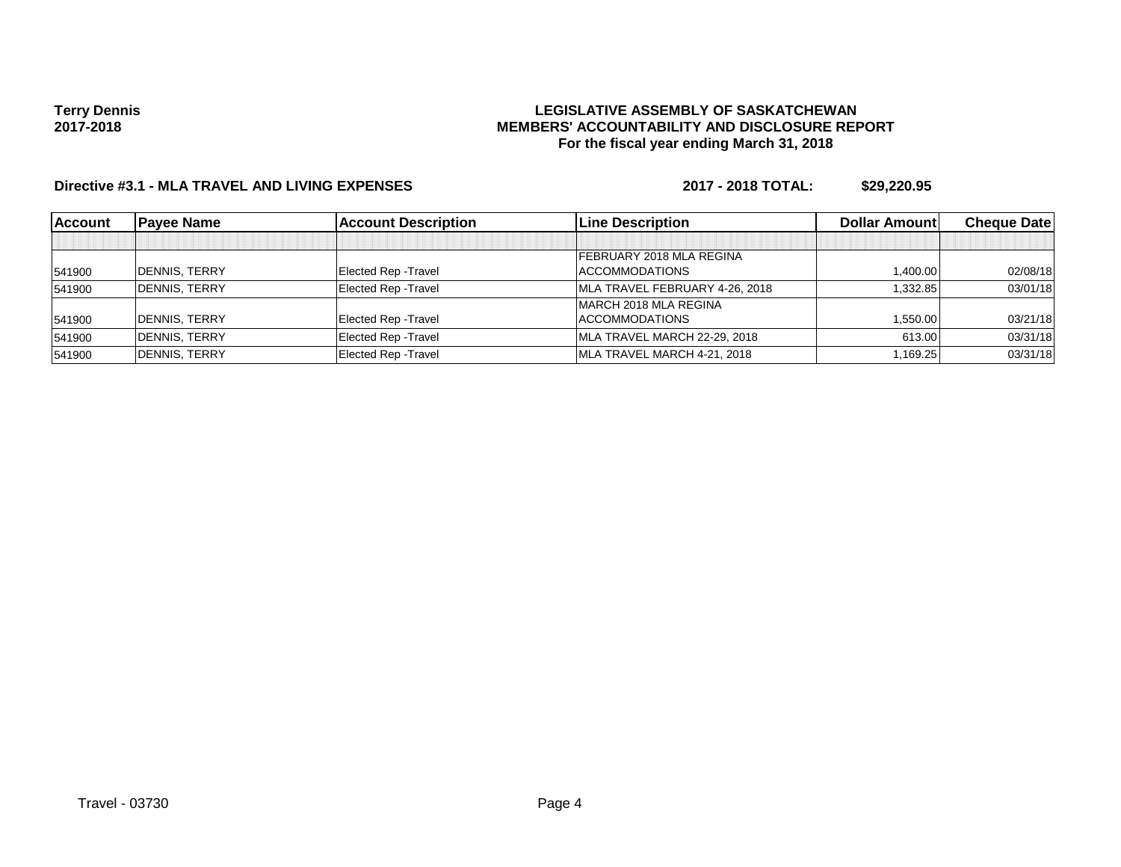#### **LEGISLATIVE ASSEMBLY OF SASKATCHEWAN MEMBERS' ACCOUNTABILITY AND DISCLOSURE REPORT For the fiscal year ending March 31, 2018**

**Directive #3.1 - MLA TRAVEL AND LIVING EXPENSES 2017 - 2018 TOTAL: \$29,220.95**

| <b>Account</b> | <b>Pavee Name</b>    | <b>Account Description</b>  | <b>ILine Description</b>       | <b>Dollar Amountl</b> | <b>Cheque Datel</b> |
|----------------|----------------------|-----------------------------|--------------------------------|-----------------------|---------------------|
|                |                      |                             |                                |                       |                     |
|                |                      |                             | FEBRUARY 2018 MLA REGINA       |                       |                     |
| 541900         | <b>DENNIS, TERRY</b> | <b>Elected Rep - Travel</b> | ACCOMMODATIONS                 | 1.400.00              | 02/08/18            |
| 541900         | <b>DENNIS, TERRY</b> | <b>Elected Rep - Travel</b> | MLA TRAVEL FEBRUARY 4-26, 2018 | 1.332.85              | 03/01/18            |
|                |                      |                             | IMARCH 2018 MLA REGINA         |                       |                     |
| 541900         | DENNIS, TERRY        | <b>Elected Rep - Travel</b> | ACCOMMODATIONS                 | 1,550.00              | 03/21/18            |
| 541900         | <b>DENNIS, TERRY</b> | <b>Elected Rep - Travel</b> | MLA TRAVEL MARCH 22-29, 2018   | 613.00                | 03/31/18            |
| 541900         | <b>DENNIS, TERRY</b> | <b>Elected Rep - Travel</b> | MLA TRAVEL MARCH 4-21, 2018    | 1,169.25              | 03/31/18            |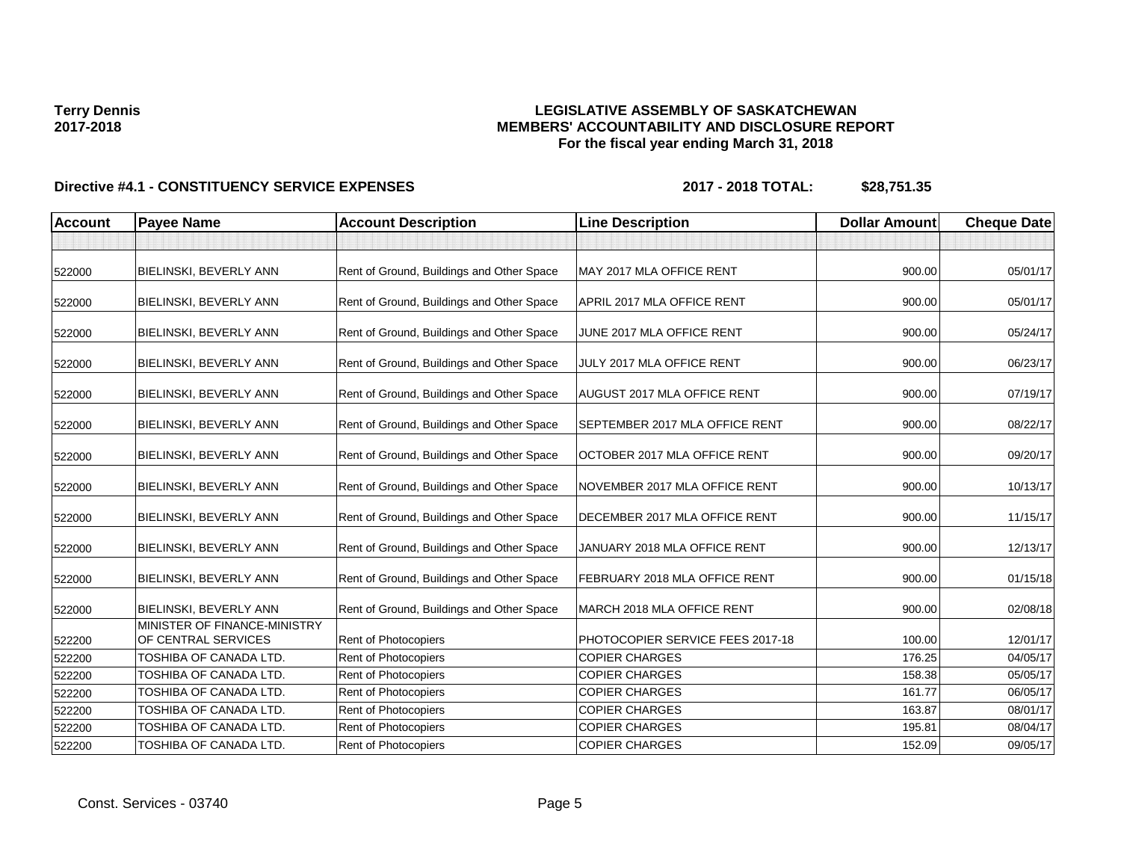### **LEGISLATIVE ASSEMBLY OF SASKATCHEWAN MEMBERS' ACCOUNTABILITY AND DISCLOSURE REPORT For the fiscal year ending March 31, 2018**

| <b>Account</b> | <b>Payee Name</b>                                      | <b>Account Description</b>                | <b>Line Description</b>               | <b>Dollar Amount</b> | <b>Cheque Date</b> |
|----------------|--------------------------------------------------------|-------------------------------------------|---------------------------------------|----------------------|--------------------|
|                |                                                        |                                           |                                       |                      |                    |
| 522000         | BIELINSKI, BEVERLY ANN                                 | Rent of Ground, Buildings and Other Space | MAY 2017 MLA OFFICE RENT              | 900.00               | 05/01/17           |
| 522000         | BIELINSKI, BEVERLY ANN                                 | Rent of Ground, Buildings and Other Space | APRIL 2017 MLA OFFICE RENT            | 900.00               | 05/01/17           |
| 522000         | BIELINSKI, BEVERLY ANN                                 | Rent of Ground, Buildings and Other Space | JUNE 2017 MLA OFFICE RENT             | 900.00               | 05/24/17           |
| 522000         | BIELINSKI, BEVERLY ANN                                 | Rent of Ground, Buildings and Other Space | JULY 2017 MLA OFFICE RENT             | 900.00               | 06/23/17           |
| 522000         | BIELINSKI, BEVERLY ANN                                 | Rent of Ground, Buildings and Other Space | AUGUST 2017 MLA OFFICE RENT           | 900.00               | 07/19/17           |
| 522000         | <b>BIELINSKI, BEVERLY ANN</b>                          | Rent of Ground, Buildings and Other Space | <b>SEPTEMBER 2017 MLA OFFICE RENT</b> | 900.00               | 08/22/17           |
| 522000         | BIELINSKI, BEVERLY ANN                                 | Rent of Ground, Buildings and Other Space | OCTOBER 2017 MLA OFFICE RENT          | 900.00               | 09/20/17           |
| 522000         | BIELINSKI, BEVERLY ANN                                 | Rent of Ground, Buildings and Other Space | NOVEMBER 2017 MLA OFFICE RENT         | 900.00               | 10/13/17           |
| 522000         | BIELINSKI, BEVERLY ANN                                 | Rent of Ground, Buildings and Other Space | DECEMBER 2017 MLA OFFICE RENT         | 900.00               | 11/15/17           |
| 522000         | BIELINSKI, BEVERLY ANN                                 | Rent of Ground, Buildings and Other Space | JANUARY 2018 MLA OFFICE RENT          | 900.00               | 12/13/17           |
| 522000         | BIELINSKI, BEVERLY ANN                                 | Rent of Ground, Buildings and Other Space | FEBRUARY 2018 MLA OFFICE RENT         | 900.00               | 01/15/18           |
| 522000         | BIELINSKI, BEVERLY ANN<br>MINISTER OF FINANCE-MINISTRY | Rent of Ground, Buildings and Other Space | MARCH 2018 MLA OFFICE RENT            | 900.00               | 02/08/18           |
| 522200         | OF CENTRAL SERVICES                                    | Rent of Photocopiers                      | PHOTOCOPIER SERVICE FEES 2017-18      | 100.00               | 12/01/17           |
| 522200         | TOSHIBA OF CANADA LTD.                                 | Rent of Photocopiers                      | <b>COPIER CHARGES</b>                 | 176.25               | 04/05/17           |
| 522200         | TOSHIBA OF CANADA LTD.                                 | <b>Rent of Photocopiers</b>               | <b>COPIER CHARGES</b>                 | 158.38               | 05/05/17           |
| 522200         | TOSHIBA OF CANADA LTD.                                 | Rent of Photocopiers                      | <b>COPIER CHARGES</b>                 | 161.77               | 06/05/17           |
| 522200         | TOSHIBA OF CANADA LTD.                                 | Rent of Photocopiers                      | <b>COPIER CHARGES</b>                 | 163.87               | 08/01/17           |
| 522200         | TOSHIBA OF CANADA LTD.                                 | Rent of Photocopiers                      | <b>COPIER CHARGES</b>                 | 195.81               | 08/04/17           |
| 522200         | TOSHIBA OF CANADA LTD.                                 | Rent of Photocopiers                      | <b>COPIER CHARGES</b>                 | 152.09               | 09/05/17           |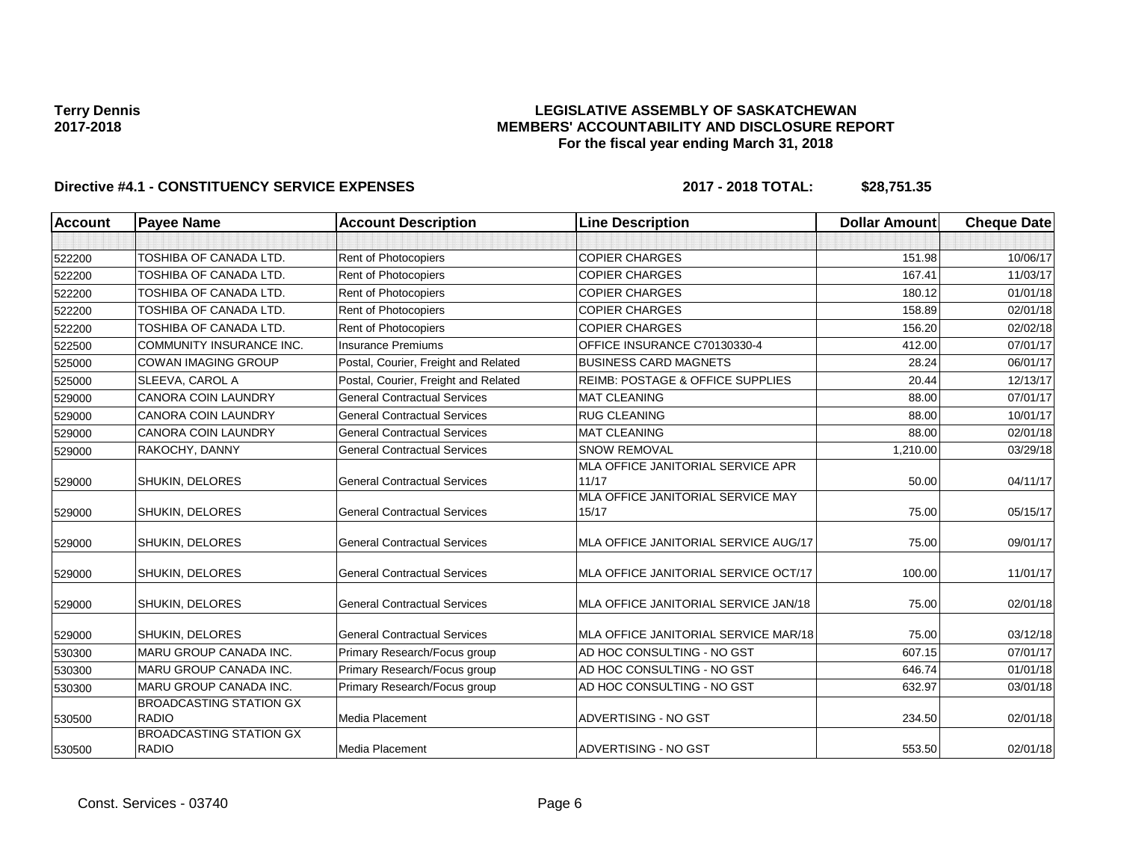#### **LEGISLATIVE ASSEMBLY OF SASKATCHEWAN MEMBERS' ACCOUNTABILITY AND DISCLOSURE REPORT For the fiscal year ending March 31, 2018**

| <b>Account</b> | <b>Payee Name</b>                              | <b>Account Description</b>           | <b>Line Description</b>                     | <b>Dollar Amount</b> | <b>Cheque Date</b> |
|----------------|------------------------------------------------|--------------------------------------|---------------------------------------------|----------------------|--------------------|
|                |                                                |                                      |                                             |                      |                    |
| 522200         | <b>TOSHIBA OF CANADA LTD.</b>                  | Rent of Photocopiers                 | <b>COPIER CHARGES</b>                       | 151.98               | 10/06/17           |
| 522200         | TOSHIBA OF CANADA LTD.                         | Rent of Photocopiers                 | <b>COPIER CHARGES</b>                       | 167.41               | 11/03/17           |
| 522200         | TOSHIBA OF CANADA LTD.                         | Rent of Photocopiers                 | <b>COPIER CHARGES</b>                       | 180.12               | 01/01/18           |
| 522200         | TOSHIBA OF CANADA LTD.                         | Rent of Photocopiers                 | <b>COPIER CHARGES</b>                       | 158.89               | 02/01/18           |
| 522200         | TOSHIBA OF CANADA LTD.                         | Rent of Photocopiers                 | <b>COPIER CHARGES</b>                       | 156.20               | 02/02/18           |
| 522500         | <b>COMMUNITY INSURANCE INC.</b>                | <b>Insurance Premiums</b>            | OFFICE INSURANCE C70130330-4                | 412.00               | 07/01/17           |
| 525000         | <b>COWAN IMAGING GROUP</b>                     | Postal, Courier, Freight and Related | <b>BUSINESS CARD MAGNETS</b>                | 28.24                | 06/01/17           |
| 525000         | SLEEVA, CAROL A                                | Postal, Courier, Freight and Related | <b>REIMB: POSTAGE &amp; OFFICE SUPPLIES</b> | 20.44                | 12/13/17           |
| 529000         | <b>CANORA COIN LAUNDRY</b>                     | <b>General Contractual Services</b>  | <b>MAT CLEANING</b>                         | 88.00                | 07/01/17           |
| 529000         | <b>CANORA COIN LAUNDRY</b>                     | <b>General Contractual Services</b>  | <b>RUG CLEANING</b>                         | 88.00                | 10/01/17           |
| 529000         | <b>CANORA COIN LAUNDRY</b>                     | <b>General Contractual Services</b>  | <b>MAT CLEANING</b>                         | 88.00                | 02/01/18           |
| 529000         | RAKOCHY, DANNY                                 | <b>General Contractual Services</b>  | <b>SNOW REMOVAL</b>                         | 1,210.00             | 03/29/18           |
| 529000         | SHUKIN, DELORES                                | <b>General Contractual Services</b>  | MLA OFFICE JANITORIAL SERVICE APR<br>11/17  | 50.00                | 04/11/17           |
| 529000         | SHUKIN, DELORES                                | <b>General Contractual Services</b>  | MLA OFFICE JANITORIAL SERVICE MAY<br>15/17  | 75.00                | 05/15/17           |
| 529000         | SHUKIN, DELORES                                | <b>General Contractual Services</b>  | MLA OFFICE JANITORIAL SERVICE AUG/17        | 75.00                | 09/01/17           |
| 529000         | SHUKIN, DELORES                                | <b>General Contractual Services</b>  | MLA OFFICE JANITORIAL SERVICE OCT/17        | 100.00               | 11/01/17           |
| 529000         | SHUKIN, DELORES                                | <b>General Contractual Services</b>  | MLA OFFICE JANITORIAL SERVICE JAN/18        | 75.00                | 02/01/18           |
| 529000         | SHUKIN, DELORES                                | <b>General Contractual Services</b>  | MLA OFFICE JANITORIAL SERVICE MAR/18        | 75.00                | 03/12/18           |
| 530300         | <b>MARU GROUP CANADA INC.</b>                  | Primary Research/Focus group         | AD HOC CONSULTING - NO GST                  | 607.15               | 07/01/17           |
| 530300         | MARU GROUP CANADA INC.                         | Primary Research/Focus group         | AD HOC CONSULTING - NO GST                  | 646.74               | 01/01/18           |
| 530300         | MARU GROUP CANADA INC.                         | Primary Research/Focus group         | AD HOC CONSULTING - NO GST                  | 632.97               | 03/01/18           |
| 530500         | <b>BROADCASTING STATION GX</b><br><b>RADIO</b> | Media Placement                      | ADVERTISING - NO GST                        | 234.50               | 02/01/18           |
| 530500         | <b>BROADCASTING STATION GX</b><br><b>RADIO</b> | Media Placement                      | ADVERTISING - NO GST                        | 553.50               | 02/01/18           |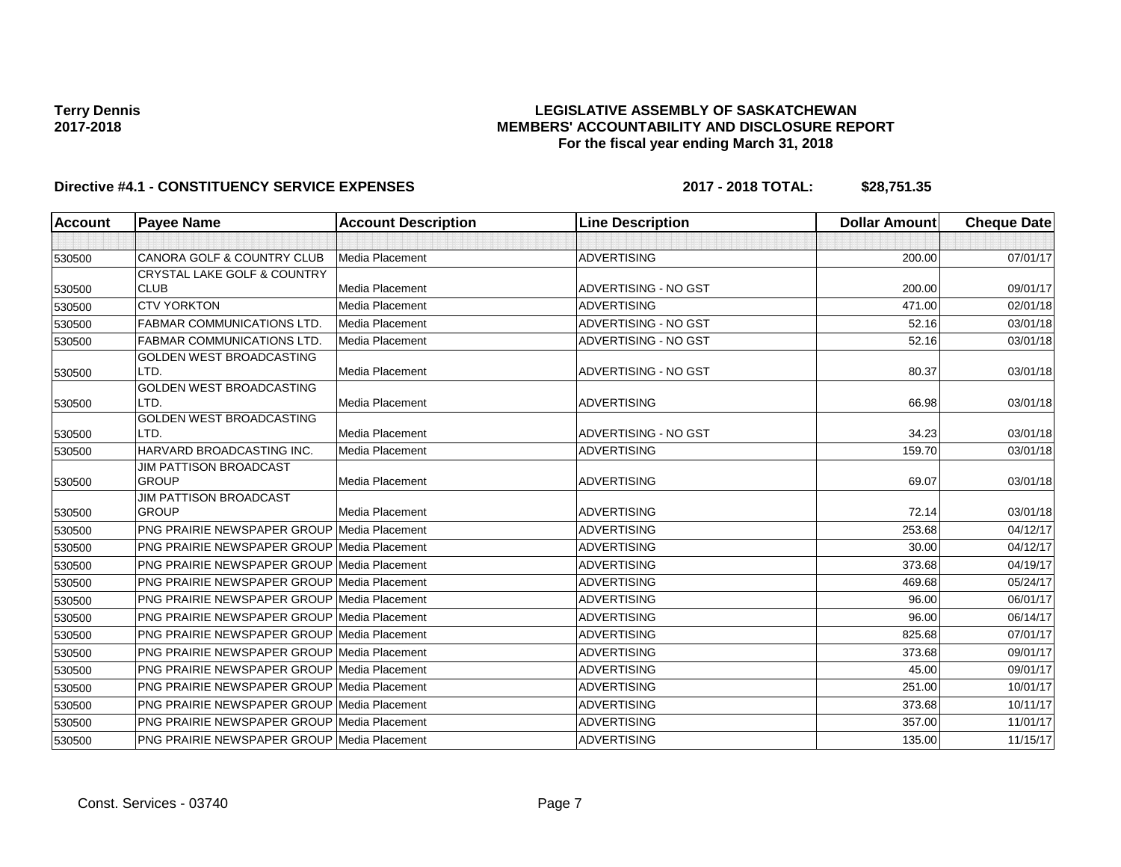### **LEGISLATIVE ASSEMBLY OF SASKATCHEWAN MEMBERS' ACCOUNTABILITY AND DISCLOSURE REPORT For the fiscal year ending March 31, 2018**

| <b>Account</b> | <b>Payee Name</b>                                  | <b>Account Description</b> | <b>Line Description</b> | <b>Dollar Amount</b> | <b>Cheque Date</b> |
|----------------|----------------------------------------------------|----------------------------|-------------------------|----------------------|--------------------|
|                |                                                    |                            |                         |                      |                    |
| 530500         | CANORA GOLF & COUNTRY CLUB                         | Media Placement            | <b>ADVERTISING</b>      | 200.00               | 07/01/17           |
|                | CRYSTAL LAKE GOLF & COUNTRY                        |                            |                         |                      |                    |
| 530500         | <b>CLUB</b>                                        | Media Placement            | ADVERTISING - NO GST    | 200.00               | 09/01/17           |
| 530500         | <b>CTV YORKTON</b>                                 | Media Placement            | <b>ADVERTISING</b>      | 471.00               | 02/01/18           |
| 530500         | <b>FABMAR COMMUNICATIONS LTD.</b>                  | Media Placement            | ADVERTISING - NO GST    | 52.16                | 03/01/18           |
| 530500         | <b>FABMAR COMMUNICATIONS LTD</b>                   | Media Placement            | ADVERTISING - NO GST    | 52.16                | 03/01/18           |
|                | <b>GOLDEN WEST BROADCASTING</b>                    |                            |                         |                      |                    |
| 530500         | LTD.                                               | Media Placement            | ADVERTISING - NO GST    | 80.37                | 03/01/18           |
|                | GOLDEN WEST BROADCASTING                           |                            |                         |                      |                    |
| 530500         | LTD.                                               | Media Placement            | <b>ADVERTISING</b>      | 66.98                | 03/01/18           |
|                | <b>GOLDEN WEST BROADCASTING</b>                    |                            |                         |                      |                    |
| 530500         | LTD.                                               | Media Placement            | ADVERTISING - NO GST    | 34.23                | 03/01/18           |
| 530500         | HARVARD BROADCASTING INC.                          | <b>Media Placement</b>     | <b>ADVERTISING</b>      | 159.70               | 03/01/18           |
| 530500         | <b>JIM PATTISON BROADCAST</b><br><b>GROUP</b>      | Media Placement            | <b>ADVERTISING</b>      | 69.07                | 03/01/18           |
|                | <b>JIM PATTISON BROADCAST</b>                      |                            |                         |                      |                    |
| 530500         | <b>GROUP</b>                                       | Media Placement            | <b>ADVERTISING</b>      | 72.14                | 03/01/18           |
| 530500         | <b>PNG PRAIRIE NEWSPAPER GROUP Media Placement</b> |                            | <b>ADVERTISING</b>      | 253.68               | 04/12/17           |
| 530500         | <b>PNG PRAIRIE NEWSPAPER GROUP Media Placement</b> |                            | <b>ADVERTISING</b>      | 30.00                | 04/12/17           |
| 530500         | <b>PNG PRAIRIE NEWSPAPER GROUP Media Placement</b> |                            | <b>ADVERTISING</b>      | 373.68               | 04/19/17           |
| 530500         | PNG PRAIRIE NEWSPAPER GROUP Media Placement        |                            | <b>ADVERTISING</b>      | 469.68               | 05/24/17           |
| 530500         | <b>PNG PRAIRIE NEWSPAPER GROUP Media Placement</b> |                            | <b>ADVERTISING</b>      | 96.00                | 06/01/17           |
| 530500         | <b>PNG PRAIRIE NEWSPAPER GROUP Media Placement</b> |                            | <b>ADVERTISING</b>      | 96.00                | 06/14/17           |
| 530500         | <b>PNG PRAIRIE NEWSPAPER GROUP Media Placement</b> |                            | <b>ADVERTISING</b>      | 825.68               | 07/01/17           |
| 530500         | <b>PNG PRAIRIE NEWSPAPER GROUP Media Placement</b> |                            | <b>ADVERTISING</b>      | 373.68               | 09/01/17           |
| 530500         | <b>PNG PRAIRIE NEWSPAPER GROUP Media Placement</b> |                            | <b>ADVERTISING</b>      | 45.00                | 09/01/17           |
| 530500         | <b>PNG PRAIRIE NEWSPAPER GROUP Media Placement</b> |                            | <b>ADVERTISING</b>      | 251.00               | 10/01/17           |
| 530500         | <b>PNG PRAIRIE NEWSPAPER GROUP Media Placement</b> |                            | <b>ADVERTISING</b>      | 373.68               | 10/11/17           |
| 530500         | <b>PNG PRAIRIE NEWSPAPER GROUP Media Placement</b> |                            | <b>ADVERTISING</b>      | 357.00               | 11/01/17           |
| 530500         | PNG PRAIRIE NEWSPAPER GROUP Media Placement        |                            | <b>ADVERTISING</b>      | 135.00               | 11/15/17           |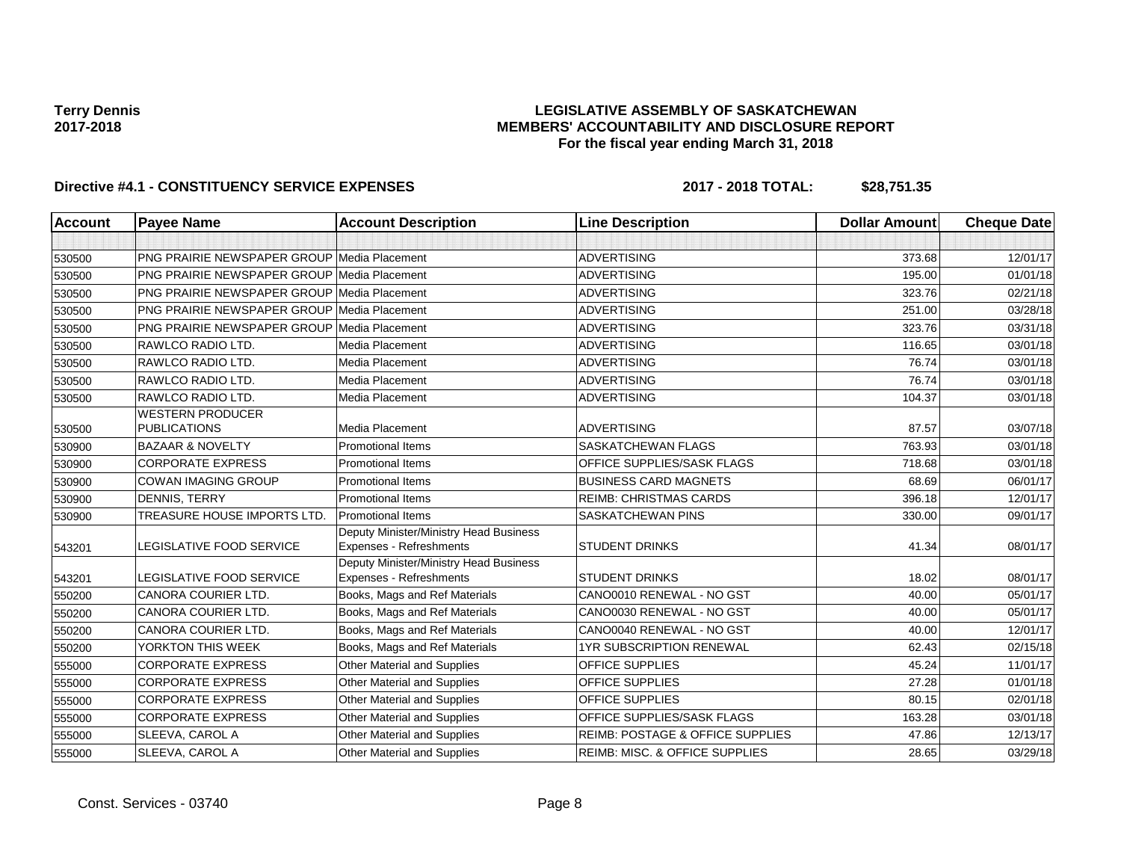#### **LEGISLATIVE ASSEMBLY OF SASKATCHEWAN MEMBERS' ACCOUNTABILITY AND DISCLOSURE REPORT For the fiscal year ending March 31, 2018**

| <b>Account</b> | <b>Payee Name</b>                                  | <b>Account Description</b>                                               | <b>Line Description</b>                     | <b>Dollar Amount</b> | <b>Cheque Date</b> |
|----------------|----------------------------------------------------|--------------------------------------------------------------------------|---------------------------------------------|----------------------|--------------------|
|                |                                                    |                                                                          |                                             |                      |                    |
| 530500         | PNG PRAIRIE NEWSPAPER GROUP Media Placement        |                                                                          | <b>ADVERTISING</b>                          | 373.68               | 12/01/17           |
| 530500         | <b>PNG PRAIRIE NEWSPAPER GROUP Media Placement</b> |                                                                          | <b>ADVERTISING</b>                          | 195.00               | 01/01/18           |
| 530500         | PNG PRAIRIE NEWSPAPER GROUP Media Placement        |                                                                          | <b>ADVERTISING</b>                          | 323.76               | 02/21/18           |
| 530500         | <b>PNG PRAIRIE NEWSPAPER GROUP Media Placement</b> |                                                                          | <b>ADVERTISING</b>                          | 251.00               | 03/28/18           |
| 530500         | <b>PNG PRAIRIE NEWSPAPER GROUP Media Placement</b> |                                                                          | <b>ADVERTISING</b>                          | 323.76               | 03/31/18           |
| 530500         | RAWLCO RADIO LTD.                                  | Media Placement                                                          | <b>ADVERTISING</b>                          | 116.65               | 03/01/18           |
| 530500         | RAWLCO RADIO LTD.                                  | Media Placement                                                          | <b>ADVERTISING</b>                          | 76.74                | 03/01/18           |
| 530500         | RAWLCO RADIO LTD.                                  | Media Placement                                                          | <b>ADVERTISING</b>                          | 76.74                | 03/01/18           |
| 530500         | RAWLCO RADIO LTD.                                  | Media Placement                                                          | <b>ADVERTISING</b>                          | 104.37               | 03/01/18           |
| 530500         | <b>WESTERN PRODUCER</b><br><b>PUBLICATIONS</b>     | Media Placement                                                          | <b>ADVERTISING</b>                          | 87.57                | 03/07/18           |
| 530900         | <b>BAZAAR &amp; NOVELTY</b>                        | <b>Promotional Items</b>                                                 | <b>SASKATCHEWAN FLAGS</b>                   | 763.93               | 03/01/18           |
| 530900         | <b>CORPORATE EXPRESS</b>                           | <b>Promotional Items</b>                                                 | OFFICE SUPPLIES/SASK FLAGS                  | 718.68               | 03/01/18           |
| 530900         | <b>COWAN IMAGING GROUP</b>                         | <b>Promotional Items</b>                                                 | <b>BUSINESS CARD MAGNETS</b>                | 68.69                | 06/01/17           |
| 530900         | DENNIS, TERRY                                      | <b>Promotional Items</b>                                                 | <b>REIMB: CHRISTMAS CARDS</b>               | 396.18               | 12/01/17           |
| 530900         | <b>TREASURE HOUSE IMPORTS LTD.</b>                 | <b>Promotional Items</b>                                                 | <b>SASKATCHEWAN PINS</b>                    | 330.00               | 09/01/17           |
| 543201         | LEGISLATIVE FOOD SERVICE                           | Deputy Minister/Ministry Head Business<br>Expenses - Refreshments        | <b>STUDENT DRINKS</b>                       | 41.34                | 08/01/17           |
| 543201         | <b>LEGISLATIVE FOOD SERVICE</b>                    | Deputy Minister/Ministry Head Business<br><b>Expenses - Refreshments</b> | <b>STUDENT DRINKS</b>                       | 18.02                | 08/01/17           |
| 550200         | <b>CANORA COURIER LTD.</b>                         | Books, Mags and Ref Materials                                            | CANO0010 RENEWAL - NO GST                   | 40.00                | 05/01/17           |
| 550200         | <b>CANORA COURIER LTD.</b>                         | Books, Mags and Ref Materials                                            | CANO0030 RENEWAL - NO GST                   | 40.00                | 05/01/17           |
| 550200         | <b>CANORA COURIER LTD.</b>                         | Books, Mags and Ref Materials                                            | CANO0040 RENEWAL - NO GST                   | 40.00                | 12/01/17           |
| 550200         | YORKTON THIS WEEK                                  | Books, Mags and Ref Materials                                            | <b>1YR SUBSCRIPTION RENEWAL</b>             | 62.43                | 02/15/18           |
| 555000         | <b>CORPORATE EXPRESS</b>                           | Other Material and Supplies                                              | OFFICE SUPPLIES                             | 45.24                | 11/01/17           |
| 555000         | <b>CORPORATE EXPRESS</b>                           | Other Material and Supplies                                              | <b>OFFICE SUPPLIES</b>                      | 27.28                | 01/01/18           |
| 555000         | <b>CORPORATE EXPRESS</b>                           | Other Material and Supplies                                              | <b>OFFICE SUPPLIES</b>                      | 80.15                | 02/01/18           |
| 555000         | <b>CORPORATE EXPRESS</b>                           | Other Material and Supplies                                              | OFFICE SUPPLIES/SASK FLAGS                  | 163.28               | 03/01/18           |
| 555000         | SLEEVA, CAROL A                                    | Other Material and Supplies                                              | <b>REIMB: POSTAGE &amp; OFFICE SUPPLIES</b> | 47.86                | 12/13/17           |
| 555000         | SLEEVA, CAROL A                                    | Other Material and Supplies                                              | REIMB: MISC. & OFFICE SUPPLIES              | 28.65                | 03/29/18           |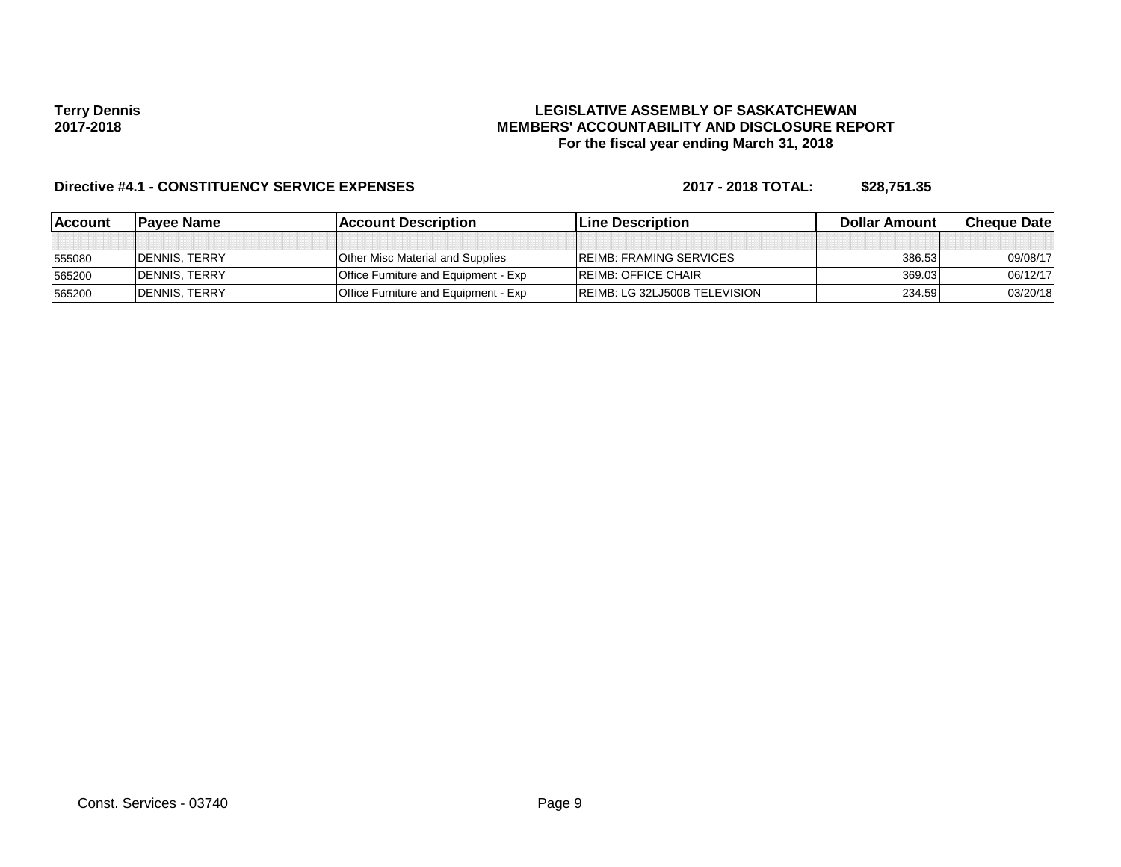#### **LEGISLATIVE ASSEMBLY OF SASKATCHEWAN MEMBERS' ACCOUNTABILITY AND DISCLOSURE REPORT For the fiscal year ending March 31, 2018**

| <b>IAccount</b> | <b>IPavee Name</b>    | <b>IAccount Description</b>                 | <b>ILine Description</b>             | Dollar Amountl | <b>Cheque Datel</b> |
|-----------------|-----------------------|---------------------------------------------|--------------------------------------|----------------|---------------------|
|                 |                       |                                             |                                      |                |                     |
| 555080          | <b>IDENNIS, TERRY</b> | <b>Other Misc Material and Supplies</b>     | <b>IREIMB: FRAMING SERVICES</b>      | 386.53         | 09/08/17            |
| 565200          | <b>IDENNIS, TERRY</b> | Office Furniture and Equipment - Exp        | <b>REIMB: OFFICE CHAIR</b>           | 369.03         | 06/12/17            |
| 565200          | <b>IDENNIS, TERRY</b> | <b>Office Furniture and Equipment - Exp</b> | <b>REIMB: LG 32LJ500B TELEVISION</b> | 234.59         | 03/20/18            |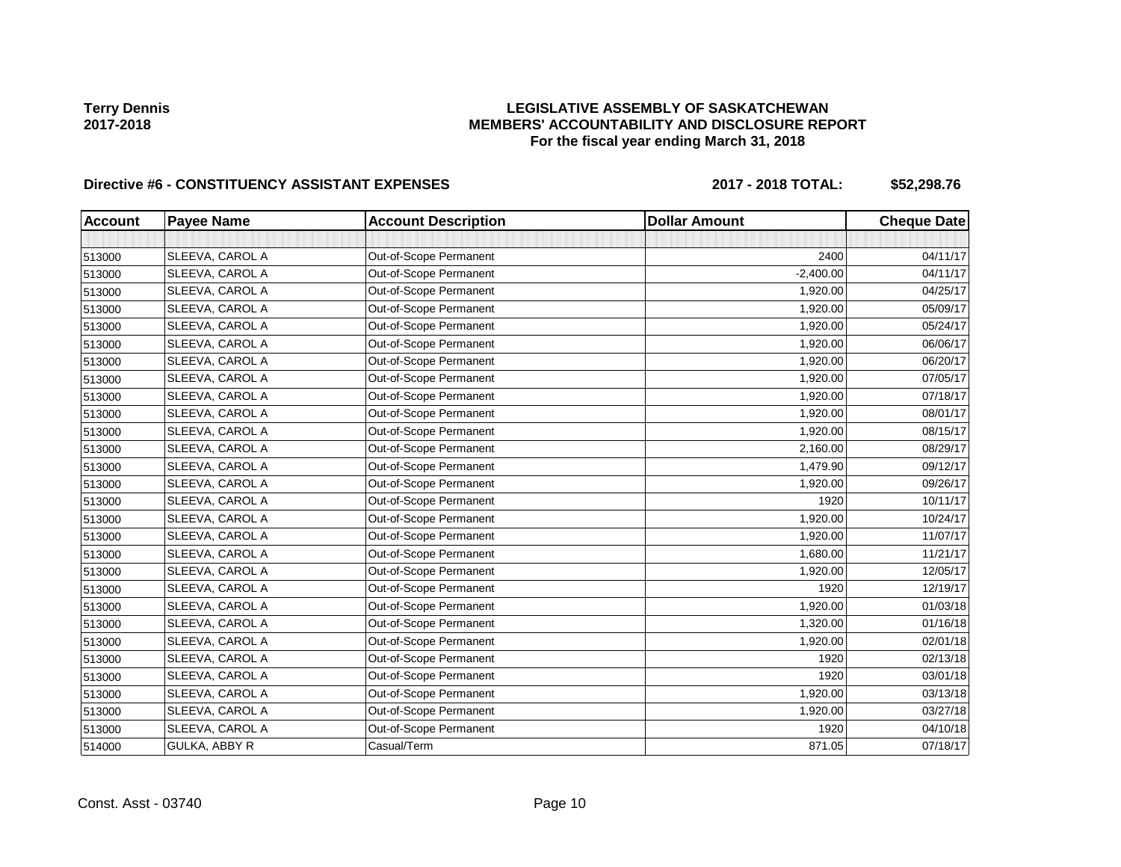### **LEGISLATIVE ASSEMBLY OF SASKATCHEWAN MEMBERS' ACCOUNTABILITY AND DISCLOSURE REPORT For the fiscal year ending March 31, 2018**

# Directive #6 - CONSTITUENCY ASSISTANT EXPENSES 2017 - 2018 TOTAL: \$52,298.76

| <b>Account</b> | <b>Payee Name</b> | <b>Account Description</b> | <b>Dollar Amount</b> | <b>Cheque Date</b> |
|----------------|-------------------|----------------------------|----------------------|--------------------|
|                |                   |                            |                      |                    |
| 513000         | SLEEVA, CAROL A   | Out-of-Scope Permanent     | 2400                 | 04/11/17           |
| 513000         | SLEEVA, CAROL A   | Out-of-Scope Permanent     | $-2,400.00$          | 04/11/17           |
| 513000         | SLEEVA, CAROL A   | Out-of-Scope Permanent     | 1,920.00             | 04/25/17           |
| 513000         | SLEEVA, CAROL A   | Out-of-Scope Permanent     | 1,920.00             | 05/09/17           |
| 513000         | SLEEVA, CAROL A   | Out-of-Scope Permanent     | 1,920.00             | 05/24/17           |
| 513000         | SLEEVA, CAROL A   | Out-of-Scope Permanent     | 1,920.00             | 06/06/17           |
| 513000         | SLEEVA, CAROL A   | Out-of-Scope Permanent     | 1,920.00             | 06/20/17           |
| 513000         | SLEEVA, CAROL A   | Out-of-Scope Permanent     | 1,920.00             | 07/05/17           |
| 513000         | SLEEVA, CAROL A   | Out-of-Scope Permanent     | 1,920.00             | 07/18/17           |
| 513000         | SLEEVA, CAROL A   | Out-of-Scope Permanent     | 1,920.00             | 08/01/17           |
| 513000         | SLEEVA, CAROL A   | Out-of-Scope Permanent     | 1,920.00             | 08/15/17           |
| 513000         | SLEEVA, CAROL A   | Out-of-Scope Permanent     | 2,160.00             | 08/29/17           |
| 513000         | SLEEVA, CAROL A   | Out-of-Scope Permanent     | 1,479.90             | 09/12/17           |
| 513000         | SLEEVA, CAROL A   | Out-of-Scope Permanent     | 1,920.00             | 09/26/17           |
| 513000         | SLEEVA, CAROL A   | Out-of-Scope Permanent     | 1920                 | 10/11/17           |
| 513000         | SLEEVA, CAROL A   | Out-of-Scope Permanent     | 1,920.00             | 10/24/17           |
| 513000         | SLEEVA, CAROL A   | Out-of-Scope Permanent     | 1,920.00             | 11/07/17           |
| 513000         | SLEEVA, CAROL A   | Out-of-Scope Permanent     | 1,680.00             | 11/21/17           |
| 513000         | SLEEVA, CAROL A   | Out-of-Scope Permanent     | 1,920.00             | 12/05/17           |
| 513000         | SLEEVA, CAROL A   | Out-of-Scope Permanent     | 1920                 | 12/19/17           |
| 513000         | SLEEVA, CAROL A   | Out-of-Scope Permanent     | 1,920.00             | 01/03/18           |
| 513000         | SLEEVA, CAROL A   | Out-of-Scope Permanent     | 1,320.00             | 01/16/18           |
| 513000         | SLEEVA, CAROL A   | Out-of-Scope Permanent     | 1,920.00             | 02/01/18           |
| 513000         | SLEEVA, CAROL A   | Out-of-Scope Permanent     | 1920                 | 02/13/18           |
| 513000         | SLEEVA, CAROL A   | Out-of-Scope Permanent     | 1920                 | 03/01/18           |
| 513000         | SLEEVA, CAROL A   | Out-of-Scope Permanent     | 1,920.00             | 03/13/18           |
| 513000         | SLEEVA, CAROL A   | Out-of-Scope Permanent     | 1,920.00             | 03/27/18           |
| 513000         | SLEEVA, CAROL A   | Out-of-Scope Permanent     | 1920                 | 04/10/18           |
| 514000         | GULKA, ABBY R     | Casual/Term                | 871.05               | 07/18/17           |